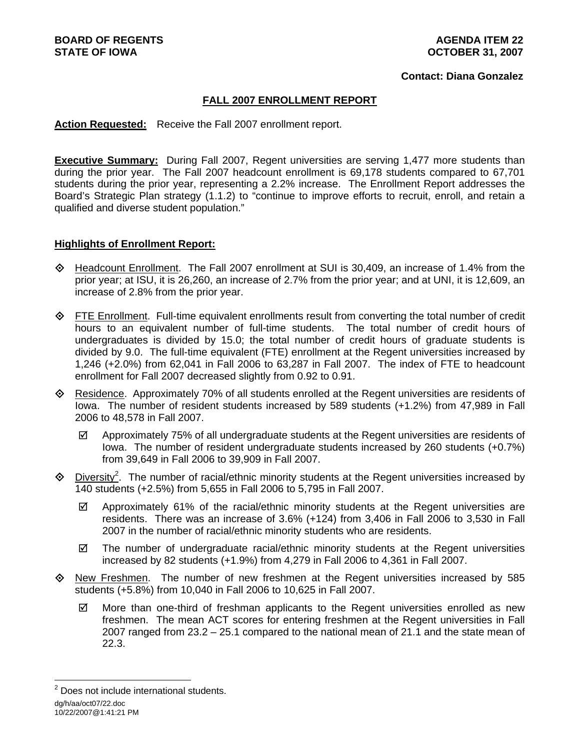#### **Contact: Diana Gonzalez**

### **FALL 2007 ENROLLMENT REPORT**

**Action Requested:** Receive the Fall 2007 enrollment report.

**Executive Summary:** During Fall 2007, Regent universities are serving 1,477 more students than during the prior year. The Fall 2007 headcount enrollment is 69,178 students compared to 67,701 students during the prior year, representing a 2.2% increase. The Enrollment Report addresses the Board's Strategic Plan strategy (1.1.2) to "continue to improve efforts to recruit, enroll, and retain a qualified and diverse student population."

#### **Highlights of Enrollment Report:**

- Headcount Enrollment. The Fall 2007 enrollment at SUI is 30,409, an increase of 1.4% from the prior year; at ISU, it is 26,260, an increase of 2.7% from the prior year; and at UNI, it is 12,609, an increase of 2.8% from the prior year.
- $\Diamond$  FTE Enrollment. Full-time equivalent enrollments result from converting the total number of credit hours to an equivalent number of full-time students. The total number of credit hours of undergraduates is divided by 15.0; the total number of credit hours of graduate students is divided by 9.0. The full-time equivalent (FTE) enrollment at the Regent universities increased by 1,246 (+2.0%) from 62,041 in Fall 2006 to 63,287 in Fall 2007. The index of FTE to headcount enrollment for Fall 2007 decreased slightly from 0.92 to 0.91.
- Residence. Approximately 70% of all students enrolled at the Regent universities are residents of Iowa. The number of resident students increased by 589 students (+1.2%) from 47,989 in Fall 2006 to 48,578 in Fall 2007.
	- $\boxtimes$  Approximately 75% of all undergraduate students at the Regent universities are residents of Iowa. The number of resident undergraduate students increased by 260 students (+0.7%) from 39,649 in Fall 2006 to 39,909 in Fall 2007.
- $\Diamond$  Diversity<sup>2</sup>. The number of racial/ethnic minority students at the Regent universities increased by 140 students (+2.5%) from 5,655 in Fall 2006 to 5,795 in Fall 2007.
	- $\boxtimes$  Approximately 61% of the racial/ethnic minority students at the Regent universities are residents. There was an increase of 3.6% (+124) from 3,406 in Fall 2006 to 3,530 in Fall 2007 in the number of racial/ethnic minority students who are residents.
	- $\boxtimes$  The number of undergraduate racial/ethnic minority students at the Regent universities increased by 82 students (+1.9%) from 4,279 in Fall 2006 to 4,361 in Fall 2007.
- $\Diamond$  New Freshmen. The number of new freshmen at the Regent universities increased by 585 students (+5.8%) from 10,040 in Fall 2006 to 10,625 in Fall 2007.
	- $\boxtimes$  More than one-third of freshman applicants to the Regent universities enrolled as new freshmen. The mean ACT scores for entering freshmen at the Regent universities in Fall 2007 ranged from 23.2 – 25.1 compared to the national mean of 21.1 and the state mean of 22.3.

dg/h/aa/oct07/22.doc 10/22/2007@1:41:21 PM l <sup>2</sup> Does not include international students.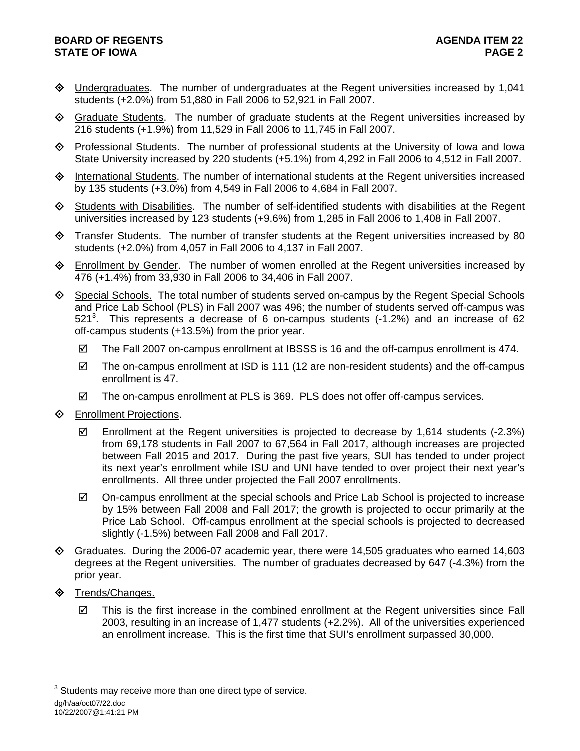# **BOARD OF REGENTS AGENUS AGENDA ITEM 22 STATE OF IOWA** PAGE 2

- Undergraduates. The number of undergraduates at the Regent universities increased by 1,041 students (+2.0%) from 51,880 in Fall 2006 to 52,921 in Fall 2007.
- $\Diamond$  Graduate Students. The number of graduate students at the Regent universities increased by 216 students (+1.9%) from 11,529 in Fall 2006 to 11,745 in Fall 2007.
- Professional Students. The number of professional students at the University of Iowa and Iowa State University increased by 220 students (+5.1%) from 4,292 in Fall 2006 to 4,512 in Fall 2007.
- $\Diamond$  International Students. The number of international students at the Regent universities increased by 135 students (+3.0%) from 4,549 in Fall 2006 to 4,684 in Fall 2007.
- $\diamondsuit$  Students with Disabilities. The number of self-identified students with disabilities at the Regent universities increased by 123 students (+9.6%) from 1,285 in Fall 2006 to 1,408 in Fall 2007.
- $\Diamond$  Transfer Students. The number of transfer students at the Regent universities increased by 80 students (+2.0%) from 4,057 in Fall 2006 to 4,137 in Fall 2007.
- Enrollment by Gender. The number of women enrolled at the Regent universities increased by 476 (+1.4%) from 33,930 in Fall 2006 to 34,406 in Fall 2007.
- $\Diamond$  Special Schools. The total number of students served on-campus by the Regent Special Schools and Price Lab School (PLS) in Fall 2007 was 496; the number of students served off-campus was 521<sup>3</sup>. This represents a decrease of 6 on-campus students (-1.2%) and an increase of 62 off-campus students (+13.5%) from the prior year.
	- $\boxtimes$  The Fall 2007 on-campus enrollment at IBSSS is 16 and the off-campus enrollment is 474.
	- $\boxtimes$  The on-campus enrollment at ISD is 111 (12 are non-resident students) and the off-campus enrollment is 47.
	- $\boxtimes$  The on-campus enrollment at PLS is 369. PLS does not offer off-campus services.
- **♦** Enrollment Projections.
	- $\boxtimes$  Enrollment at the Regent universities is projected to decrease by 1,614 students (-2.3%) from 69,178 students in Fall 2007 to 67,564 in Fall 2017, although increases are projected between Fall 2015 and 2017. During the past five years, SUI has tended to under project its next year's enrollment while ISU and UNI have tended to over project their next year's enrollments. All three under projected the Fall 2007 enrollments.
	- $\boxtimes$  On-campus enrollment at the special schools and Price Lab School is projected to increase by 15% between Fall 2008 and Fall 2017; the growth is projected to occur primarily at the Price Lab School. Off-campus enrollment at the special schools is projected to decreased slightly (-1.5%) between Fall 2008 and Fall 2017.
- $\Diamond$  Graduates. During the 2006-07 academic year, there were 14,505 graduates who earned 14,603 degrees at the Regent universities. The number of graduates decreased by 647 (-4.3%) from the prior year.
- $\diamond$  Trends/Changes.
	- $\boxtimes$  This is the first increase in the combined enrollment at the Regent universities since Fall 2003, resulting in an increase of 1,477 students (+2.2%). All of the universities experienced an enrollment increase. This is the first time that SUI's enrollment surpassed 30,000.

10/22/2007@1:41:21 PM

l

dg/h/aa/oct07/22.doc  $3$  Students may receive more than one direct type of service.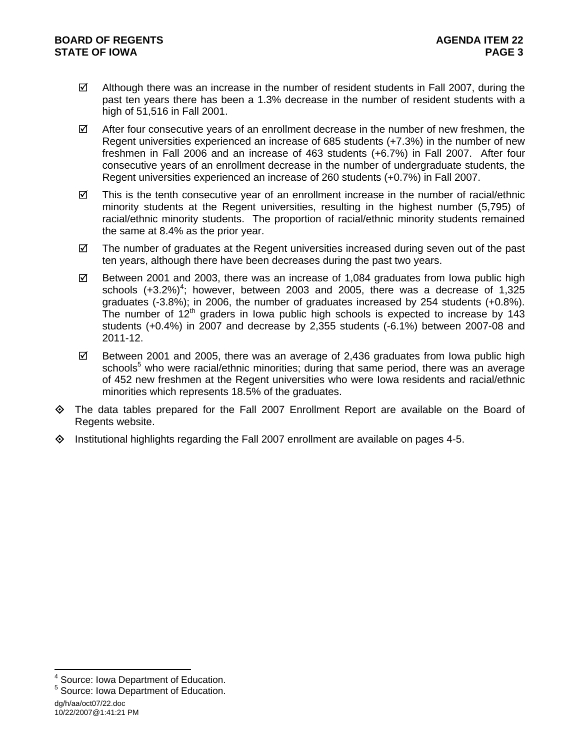- $\boxtimes$  Although there was an increase in the number of resident students in Fall 2007, during the past ten years there has been a 1.3% decrease in the number of resident students with a high of 51,516 in Fall 2001.
- $\boxtimes$  After four consecutive years of an enrollment decrease in the number of new freshmen, the Regent universities experienced an increase of 685 students (+7.3%) in the number of new freshmen in Fall 2006 and an increase of 463 students (+6.7%) in Fall 2007. After four consecutive years of an enrollment decrease in the number of undergraduate students, the Regent universities experienced an increase of 260 students (+0.7%) in Fall 2007.
- $\boxtimes$  This is the tenth consecutive year of an enrollment increase in the number of racial/ethnic minority students at the Regent universities, resulting in the highest number (5,795) of racial/ethnic minority students. The proportion of racial/ethnic minority students remained the same at 8.4% as the prior year.
- $\boxtimes$  The number of graduates at the Regent universities increased during seven out of the past ten years, although there have been decreases during the past two years.
- $\boxtimes$  Between 2001 and 2003, there was an increase of 1,084 graduates from lowa public high schools  $(+3.2%)^4$ ; however, between 2003 and 2005, there was a decrease of 1,325 graduates (-3.8%); in 2006, the number of graduates increased by 254 students (+0.8%). The number of  $12<sup>th</sup>$  graders in Iowa public high schools is expected to increase by 143 students (+0.4%) in 2007 and decrease by 2,355 students (-6.1%) between 2007-08 and 2011-12.
- $\boxtimes$  Between 2001 and 2005, there was an average of 2,436 graduates from lowa public high schools<sup>5</sup> who were racial/ethnic minorities; during that same period, there was an average of 452 new freshmen at the Regent universities who were Iowa residents and racial/ethnic minorities which represents 18.5% of the graduates.
- The data tables prepared for the Fall 2007 Enrollment Report are available on the Board of Regents website.
- $\Diamond$  Institutional highlights regarding the Fall 2007 enrollment are available on pages 4-5.

l

<sup>4</sup> Source: Iowa Department of Education.

<sup>5</sup> Source: Iowa Department of Education.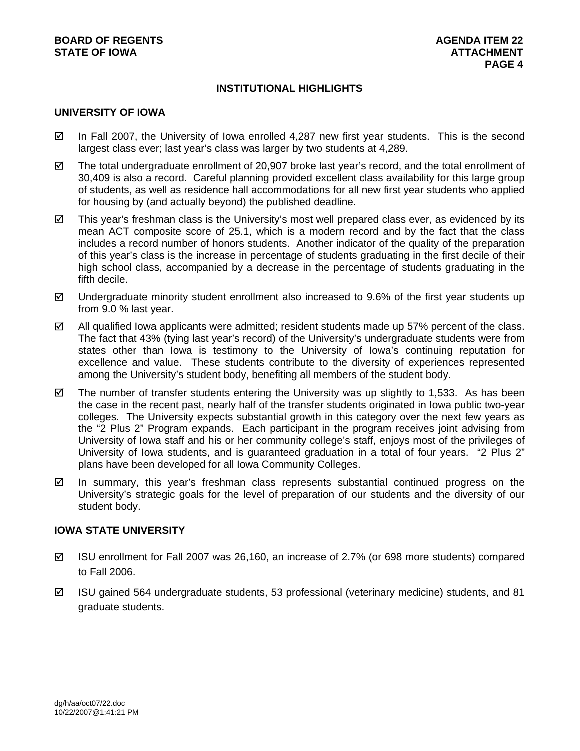## **INSTITUTIONAL HIGHLIGHTS**

### **UNIVERSITY OF IOWA**

- $\boxtimes$  In Fall 2007, the University of Iowa enrolled 4,287 new first year students. This is the second largest class ever; last year's class was larger by two students at 4,289.
- $\boxtimes$  The total undergraduate enrollment of 20,907 broke last year's record, and the total enrollment of 30,409 is also a record. Careful planning provided excellent class availability for this large group of students, as well as residence hall accommodations for all new first year students who applied for housing by (and actually beyond) the published deadline.
- $\boxtimes$  This year's freshman class is the University's most well prepared class ever, as evidenced by its mean ACT composite score of 25.1, which is a modern record and by the fact that the class includes a record number of honors students. Another indicator of the quality of the preparation of this year's class is the increase in percentage of students graduating in the first decile of their high school class, accompanied by a decrease in the percentage of students graduating in the fifth decile.
- $\boxtimes$  Undergraduate minority student enrollment also increased to 9.6% of the first year students up from 9.0 % last year.
- $\boxtimes$  All qualified Iowa applicants were admitted; resident students made up 57% percent of the class. The fact that 43% (tying last year's record) of the University's undergraduate students were from states other than Iowa is testimony to the University of Iowa's continuing reputation for excellence and value. These students contribute to the diversity of experiences represented among the University's student body, benefiting all members of the student body.
- $\boxtimes$  The number of transfer students entering the University was up slightly to 1,533. As has been the case in the recent past, nearly half of the transfer students originated in Iowa public two-year colleges. The University expects substantial growth in this category over the next few years as the "2 Plus 2" Program expands. Each participant in the program receives joint advising from University of Iowa staff and his or her community college's staff, enjoys most of the privileges of University of Iowa students, and is guaranteed graduation in a total of four years. "2 Plus 2" plans have been developed for all Iowa Community Colleges.
- $\boxtimes$  In summary, this year's freshman class represents substantial continued progress on the University's strategic goals for the level of preparation of our students and the diversity of our student body.

### **IOWA STATE UNIVERSITY**

- $\boxtimes$  ISU enrollment for Fall 2007 was 26,160, an increase of 2.7% (or 698 more students) compared to Fall 2006.
- $\boxtimes$  ISU gained 564 undergraduate students, 53 professional (veterinary medicine) students, and 81 graduate students.